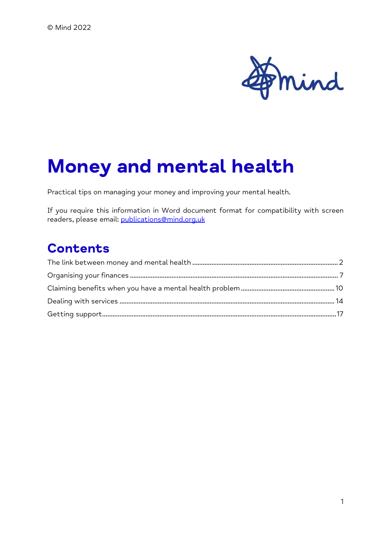

# Money and mental health

Practical tips on managing your money and improving your mental health.

If you require this information in Word document format for compatibility with screen readers, please email: publications@mind.org.uk

#### **Contents**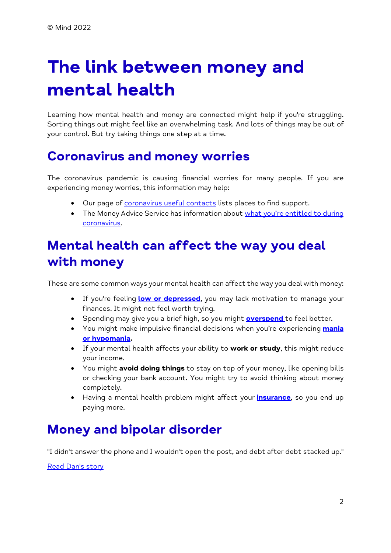# The link between money and mental health

Learning how mental health and money are connected might help if you're struggling. Sorting things out might feel like an overwhelming task. And lots of things may be out of your control. But try taking things one step at a time.

#### Coronavirus and money worries

The coronavirus pandemic is causing financial worries for many people. If you are experiencing money worries, this information may help:

- Our page of coronavirus useful contacts lists places to find support.
- The Money Advice Service has information about what you're entitled to during coronavirus.

## Mental health can affect the way you deal with money

These are some common ways your mental health can affect the way you deal with money:

- If you're feeling low or depressed, you may lack motivation to manage your finances. It might not feel worth trying.
- Spending may give you a brief high, so you might **overspend** to feel better.
- You might make impulsive financial decisions when you're experiencing mania or hypomania.
- If your mental health affects your ability to work or study, this might reduce your income.
- You might avoid doing things to stay on top of your money, like opening bills or checking your bank account. You might try to avoid thinking about money completely.
- Having a mental health problem might affect your *insurance*, so you end up paying more.

#### Money and bipolar disorder

"I didn't answer the phone and I wouldn't open the post, and debt after debt stacked up."

Read Dan's story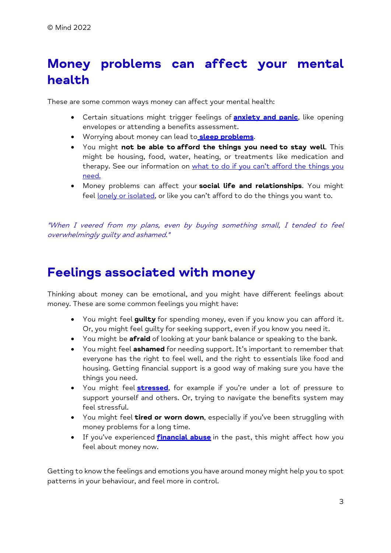## Money problems can affect your mental health

These are some common ways money can affect your mental health:

- Certain situations might trigger feelings of **anxiety and panic**, like opening envelopes or attending a benefits assessment.
- Worrying about money can lead to sleep problems.
- You might not be able to afford the things you need to stay well. This might be housing, food, water, heating, or treatments like medication and therapy. See our information on what to do if you can't afford the things you need.
- Money problems can affect your social life and relationships. You might feel lonely or isolated, or like you can't afford to do the things you want to.

"When I veered from my plans, even by buying something small, I tended to feel overwhelmingly guilty and ashamed."

#### Feelings associated with money

Thinking about money can be emotional, and you might have different feelings about money. These are some common feelings you might have:

- You might feel guilty for spending money, even if you know you can afford it. Or, you might feel guilty for seeking support, even if you know you need it.
- You might be **afraid** of looking at your bank balance or speaking to the bank.
- You might feel **ashamed** for needing support. It's important to remember that everyone has the right to feel well, and the right to essentials like food and housing. Getting financial support is a good way of making sure you have the things you need.
- You might feel **stressed**, for example if you're under a lot of pressure to support yourself and others. Or, trying to navigate the benefits system may feel stressful.
- You might feel **tired or worn down**, especially if you've been struggling with money problems for a long time.
- If you've experienced **financial abuse** in the past, this might affect how you feel about money now.

Getting to know the feelings and emotions you have around money might help you to spot patterns in your behaviour, and feel more in control.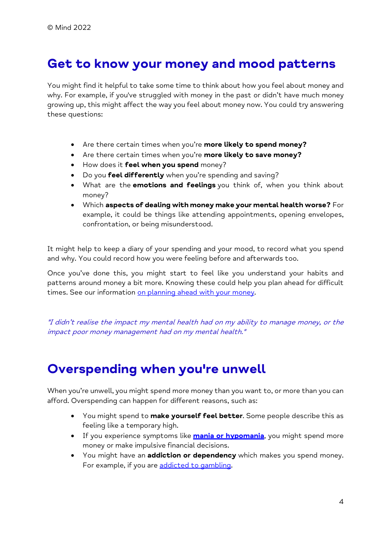#### Get to know your money and mood patterns

You might find it helpful to take some time to think about how you feel about money and why. For example, if you've struggled with money in the past or didn't have much money growing up, this might affect the way you feel about money now. You could try answering these questions:

- Are there certain times when you're more likely to spend money?
- Are there certain times when you're more likely to save money?
- How does it feel when you spend money?
- Do you feel differently when you're spending and saving?
- What are the emotions and feelings you think of, when you think about money?
- Which aspects of dealing with money make your mental health worse? For example, it could be things like attending appointments, opening envelopes, confrontation, or being misunderstood.

It might help to keep a diary of your spending and your mood, to record what you spend and why. You could record how you were feeling before and afterwards too.

Once you've done this, you might start to feel like you understand your habits and patterns around money a bit more. Knowing these could help you plan ahead for difficult times. See our information on planning ahead with your money.

"I didn't realise the impact my mental health had on my ability to manage money, or the impact poor money management had on my mental health."

#### Overspending when you're unwell

When you're unwell, you might spend more money than you want to, or more than you can afford. Overspending can happen for different reasons, such as:

- You might spend to make yourself feel better. Some people describe this as feeling like a temporary high.
- If you experience symptoms like **mania or hypomania**, you might spend more money or make impulsive financial decisions.
- You might have an addiction or dependency which makes you spend money. For example, if you are addicted to gambling.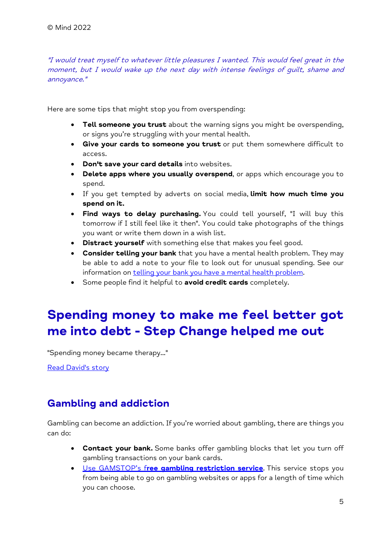"I would treat myself to whatever little pleasures I wanted. This would feel great in the moment, but I would wake up the next day with intense feelings of guilt, shame and annoyance."

Here are some tips that might stop you from overspending:

- **Tell someone you trust** about the warning signs you might be overspending, or signs you're struggling with your mental health.
- **Give your cards to someone you trust** or put them somewhere difficult to access.
- **Don't save your card details** into websites.
- Delete apps where you usually overspend, or apps which encourage you to spend.
- If you get tempted by adverts on social media, limit how much time you spend on it.
- Find ways to delay purchasing. You could tell yourself, "I will buy this tomorrow if I still feel like it then". You could take photographs of the things you want or write them down in a wish list.
- **Distract yourself** with something else that makes you feel good.
- **Consider telling your bank** that you have a mental health problem. They may be able to add a note to your file to look out for unusual spending. See our information on telling your bank you have a mental health problem.
- Some people find it helpful to avoid credit cards completely.

### Spending money to make me feel better got me into debt - Step Change helped me out

"Spending money became therapy..."

Read David's story

#### Gambling and addiction

Gambling can become an addiction. If you're worried about gambling, there are things you can do:

- Contact your bank. Some banks offer gambling blocks that let you turn off gambling transactions on your bank cards.
- Use GAMSTOP's free gambling restriction service. This service stops you from being able to go on gambling websites or apps for a length of time which you can choose.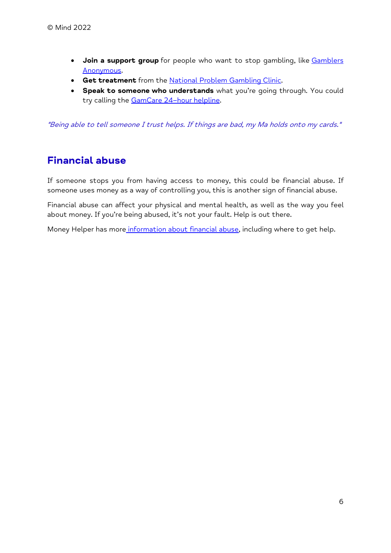- Join a support group for people who want to stop gambling, like Gamblers Anonymous.
- **Get treatment** from the **National Problem Gambling Clinic.**
- **Speak to someone who understands** what you're going through. You could try calling the GamCare 24–hour helpline.

"Being able to tell someone I trust helps. If things are bad, my Ma holds onto my cards."

#### Financial abuse

If someone stops you from having access to money, this could be financial abuse. If someone uses money as a way of controlling you, this is another sign of financial abuse.

Financial abuse can affect your physical and mental health, as well as the way you feel about money. If you're being abused, it's not your fault. Help is out there.

Money Helper has more information about financial abuse, including where to get help.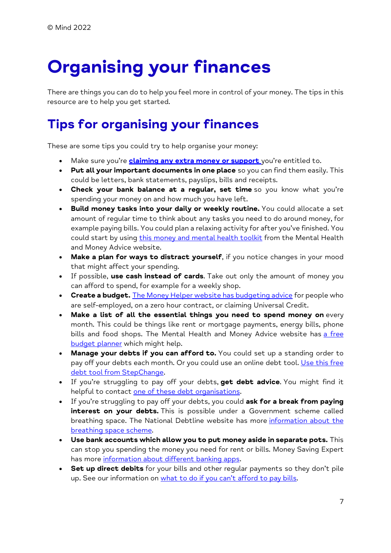# Organising your finances

There are things you can do to help you feel more in control of your money. The tips in this resource are to help you get started.

## Tips for organising your finances

These are some tips you could try to help organise your money:

- Make sure you're **claiming any extra money or support** you're entitled to.
- Put all your important documents in one place so you can find them easily. This could be letters, bank statements, payslips, bills and receipts.
- Check your bank balance at a regular, set time so you know what you're spending your money on and how much you have left.
- Build money tasks into your daily or weekly routine. You could allocate a set amount of regular time to think about any tasks you need to do around money, for example paying bills. You could plan a relaxing activity for after you've finished. You could start by using this money and mental health toolkit from the Mental Health and Money Advice website.
- Make a plan for ways to distract yourself, if you notice changes in your mood that might affect your spending.
- If possible, use cash instead of cards. Take out only the amount of money you can afford to spend, for example for a weekly shop.
- Create a budget. The Money Helper website has budgeting advice for people who are self-employed, on a zero hour contract, or claiming Universal Credit.
- Make a list of all the essential things you need to spend money on every month. This could be things like rent or mortgage payments, energy bills, phone bills and food shops. The Mental Health and Money Advice website has a free budget planner which might help.
- Manage your debts if you can afford to. You could set up a standing order to pay off your debts each month. Or you could use an online debt tool. Use this free debt tool from StepChange.
- If you're struggling to pay off your debts, get debt advice. You might find it helpful to contact one of these debt organisations.
- If you're struggling to pay off your debts, you could ask for a break from paying interest on your debts. This is possible under a Government scheme called breathing space. The National Debtline website has more information about the breathing space scheme.
- Use bank accounts which allow you to put money aside in separate pots. This can stop you spending the money you need for rent or bills. Money Saving Expert has more information about different banking apps.
- Set up direct debits for your bills and other reqular payments so they don't pile up. See our information on what to do if you can't afford to pay bills.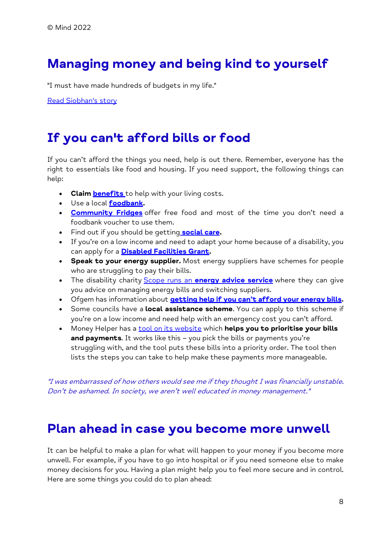### Managing money and being kind to yourself

"I must have made hundreds of budgets in my life."

Read Siobhan's story

#### If you can't afford bills or food

If you can't afford the things you need, help is out there. Remember, everyone has the right to essentials like food and housing. If you need support, the following things can help:

- Claim **benefits** to help with your living costs.
- Use a local **foodbank**.
- **Community Fridges** offer free food and most of the time you don't need a foodbank voucher to use them.
- Find out if you should be getting **social care.**
- If you're on a low income and need to adapt your home because of a disability, you can apply for a **Disabled Facilities Grant.**
- Speak to your energy supplier. Most energy suppliers have schemes for people who are struggling to pay their bills.
- The disability charity Scope runs an **energy advice service** where they can give you advice on managing energy bills and switching suppliers.
- Ofgem has information about **getting help if you can't afford your energy bills.**
- Some councils have a local assistance scheme. You can apply to this scheme if you're on a low income and need help with an emergency cost you can't afford.
- Money Helper has a **tool on its website** which **helps you to prioritise your bills** and payments. It works like this - you pick the bills or payments you're struggling with, and the tool puts these bills into a priority order. The tool then lists the steps you can take to help make these payments more manageable.

"I was embarrassed of how others would see me if they thought I was financially unstable. Don't be ashamed. In society, we aren't well educated in money management."

#### Plan ahead in case you become more unwell

It can be helpful to make a plan for what will happen to your money if you become more unwell. For example, if you have to go into hospital or if you need someone else to make money decisions for you. Having a plan might help you to feel more secure and in control. Here are some things you could do to plan ahead: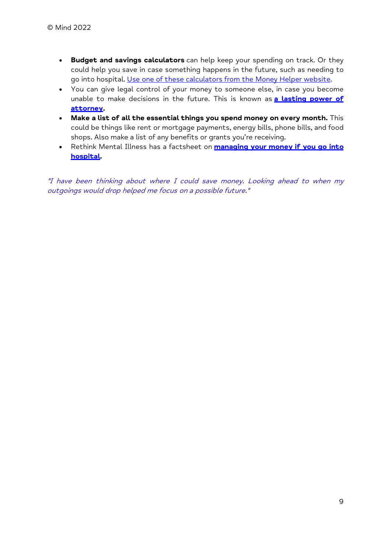- Budget and savings calculators can help keep your spending on track. Or they could help you save in case something happens in the future, such as needing to go into hospital. Use one of these calculators from the Money Helper website.
- You can give legal control of your money to someone else, in case you become unable to make decisions in the future. This is known as **a lasting power of** attorney.
- Make a list of all the essential things you spend money on every month. This could be things like rent or mortgage payments, energy bills, phone bills, and food shops. Also make a list of any benefits or grants you're receiving.
- Rethink Mental Illness has a factsheet on **managing your money if you go into** hospital.

"I have been thinking about where I could save money. Looking ahead to when my outgoings would drop helped me focus on a possible future."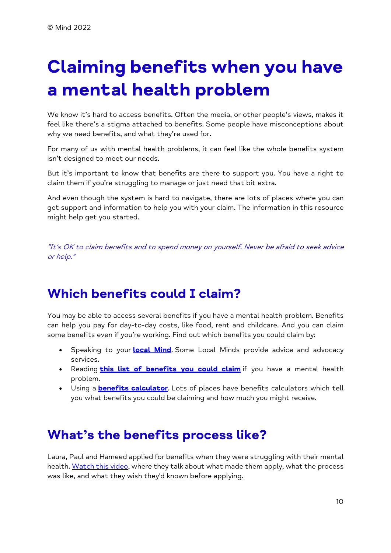# Claiming benefits when you have a mental health problem

We know it's hard to access benefits. Often the media, or other people's views, makes it feel like there's a stigma attached to benefits. Some people have misconceptions about why we need benefits, and what they're used for.

For many of us with mental health problems, it can feel like the whole benefits system isn't designed to meet our needs.

But it's important to know that benefits are there to support you. You have a right to claim them if you're struggling to manage or just need that bit extra.

And even though the system is hard to navigate, there are lots of places where you can get support and information to help you with your claim. The information in this resource might help get you started.

"It's OK to claim benefits and to spend money on yourself. Never be afraid to seek advice or help."

#### Which benefits could I claim?

You may be able to access several benefits if you have a mental health problem. Benefits can help you pay for day-to-day costs, like food, rent and childcare. And you can claim some benefits even if you're working. Find out which benefits you could claim by:

- Speaking to your local Mind. Some Local Minds provide advice and advocacy services.
- Reading **this list of benefits you could claim** if you have a mental health problem.
- Using a **benefits calculator**. Lots of places have benefits calculators which tell you what benefits you could be claiming and how much you might receive.

#### What's the benefits process like?

Laura, Paul and Hameed applied for benefits when they were struggling with their mental health. Watch this video, where they talk about what made them apply, what the process was like, and what they wish they'd known before applying.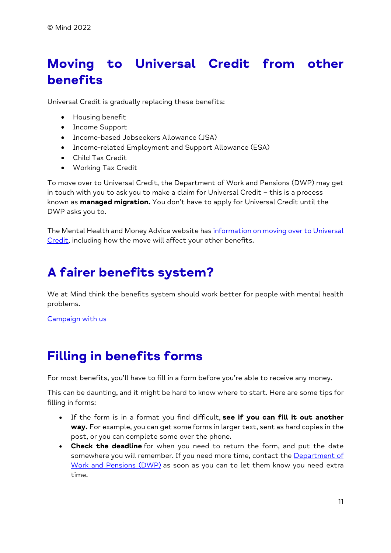## Moving to Universal Credit from other benefits

Universal Credit is gradually replacing these benefits:

- Housing benefit
- Income Support
- Income-based Jobseekers Allowance (JSA)
- Income-related Employment and Support Allowance (ESA)
- Child Tax Credit
- Working Tax Credit

To move over to Universal Credit, the Department of Work and Pensions (DWP) may get in touch with you to ask you to make a claim for Universal Credit – this is a process known as **managed migration.** You don't have to apply for Universal Credit until the DWP asks you to.

The Mental Health and Money Advice website has information on moving over to Universal Credit, including how the move will affect your other benefits.

### A fairer benefits system?

We at Mind think the benefits system should work better for people with mental health problems.

Campaign with us

#### Filling in benefits forms

For most benefits, you'll have to fill in a form before you're able to receive any money.

This can be daunting, and it might be hard to know where to start. Here are some tips for filling in forms:

- If the form is in a format you find difficult, see if you can fill it out another way. For example, you can get some forms in larger text, sent as hard copies in the post, or you can complete some over the phone.
- Check the deadline for when you need to return the form, and put the date somewhere you will remember. If you need more time, contact the Department of Work and Pensions (DWP) as soon as you can to let them know you need extra time.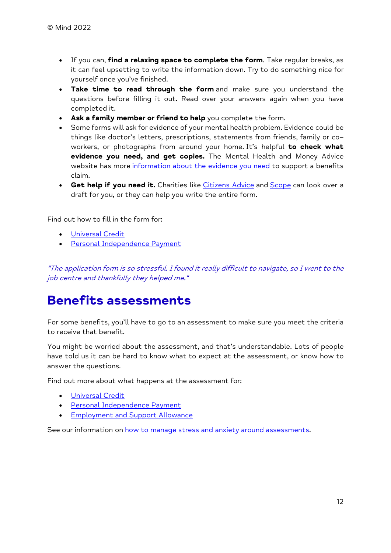- If you can, find a relaxing space to complete the form. Take reqular breaks, as it can feel upsetting to write the information down. Try to do something nice for yourself once you've finished.
- Take time to read through the form and make sure you understand the questions before filling it out. Read over your answers again when you have completed it.
- Ask a family member or friend to help you complete the form.
- Some forms will ask for evidence of your mental health problem. Evidence could be things like doctor's letters, prescriptions, statements from friends, family or co– workers, or photographs from around your home. It's helpful to check what evidence you need, and get copies. The Mental Health and Money Advice website has more information about the evidence you need to support a benefits claim.
- **Get help if you need it.** Charities like Citizens Advice and **Scope** can look over a draft for you, or they can help you write the entire form.

Find out how to fill in the form for:

- Universal Credit
- **•** Personal Independence Payment

"The application form is so stressful. I found it really difficult to navigate, so I went to the job centre and thankfully they helped me."

#### Benefits assessments

For some benefits, you'll have to go to an assessment to make sure you meet the criteria to receive that benefit.

You might be worried about the assessment, and that's understandable. Lots of people have told us it can be hard to know what to expect at the assessment, or know how to answer the questions.

Find out more about what happens at the assessment for:

- Universal Credit
- **•** Personal Independence Payment
- **Employment and Support Allowance**

See our information on how to manage stress and anxiety around assessments.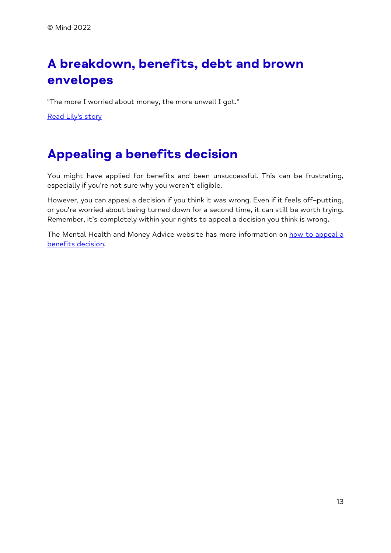# A breakdown, benefits, debt and brown envelopes

"The more I worried about money, the more unwell I got."

Read Lily's story

#### Appealing a benefits decision

You might have applied for benefits and been unsuccessful. This can be frustrating, especially if you're not sure why you weren't eligible.

However, you can appeal a decision if you think it was wrong. Even if it feels off–putting, or you're worried about being turned down for a second time, it can still be worth trying. Remember, it's completely within your rights to appeal a decision you think is wrong.

The Mental Health and Money Advice website has more information on how to appeal a benefits decision.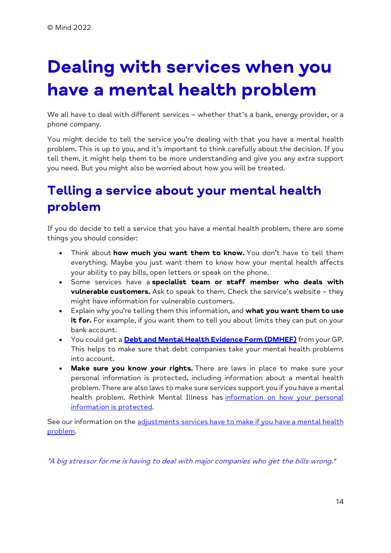# Dealing with services when you have a mental health problem

We all have to deal with different services – whether that's a bank, energy provider, or a phone company.

You might decide to tell the service you're dealing with that you have a mental health problem. This is up to you, and it's important to think carefully about the decision. If you tell them, it might help them to be more understanding and give you any extra support you need. But you might also be worried about how you will be treated.

### Telling a service about your mental health problem

If you do decide to tell a service that you have a mental health problem, there are some things you should consider:

- Think about how much you want them to know. You don't have to tell them everything. Maybe you just want them to know how your mental health affects your ability to pay bills, open letters or speak on the phone.
- Some services have a specialist team or staff member who deals with vulnerable customers. Ask to speak to them. Check the service's website – they might have information for vulnerable customers.
- Explain why you're telling them this information, and what you want them to use it for. For example, if you want them to tell you about limits they can put on your bank account.
- You could get a **Debt and Mental Health Evidence Form (DMHEF)** from your GP. This helps to make sure that debt companies take your mental health problems into account.
- Make sure you know your rights. There are laws in place to make sure your personal information is protected, including information about a mental health problem. There are also laws to make sure services support you if you have a mental health problem. Rethink Mental Illness has information on how your personal information is protected.

See our information on the adjustments services have to make if you have a mental health problem.

"A big stressor for me is having to deal with major companies who get the bills wrong."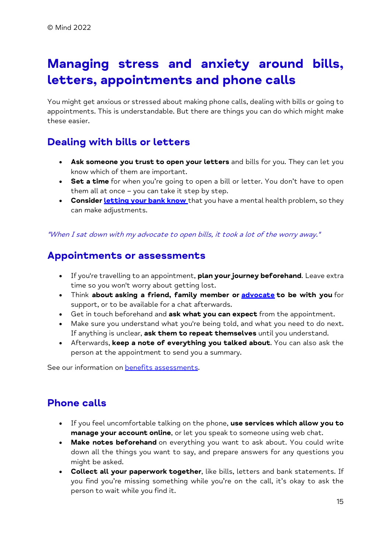## Managing stress and anxiety around bills, letters, appointments and phone calls

You might get anxious or stressed about making phone calls, dealing with bills or going to appointments. This is understandable. But there are things you can do which might make these easier.

#### Dealing with bills or letters

- Ask someone you trust to open your letters and bills for you. They can let you know which of them are important.
- Set a time for when you're going to open a bill or letter. You don't have to open them all at once – you can take it step by step.
- Consider Letting your bank know that you have a mental health problem, so they can make adjustments.

#### "When I sat down with my advocate to open bills, it took a lot of the worry away."

#### Appointments or assessments

- If you're travelling to an appointment, plan your journey beforehand. Leave extra time so you won't worry about getting lost.
- Think about asking a friend, family member or **advocate to be with you** for support, or to be available for a chat afterwards.
- Get in touch beforehand and ask what you can expect from the appointment.
- Make sure you understand what you're being told, and what you need to do next. If anything is unclear, ask them to repeat themselves until you understand.
- Afterwards, keep a note of everything you talked about. You can also ask the person at the appointment to send you a summary.

See our information on benefits assessments.

#### Phone calls

- If you feel uncomfortable talking on the phone, use services which allow you to manage your account online, or let you speak to someone using web chat.
- Make notes beforehand on everything you want to ask about. You could write down all the things you want to say, and prepare answers for any questions you might be asked.
- Collect all your paperwork together, like bills, letters and bank statements. If you find you're missing something while you're on the call, it's okay to ask the person to wait while you find it.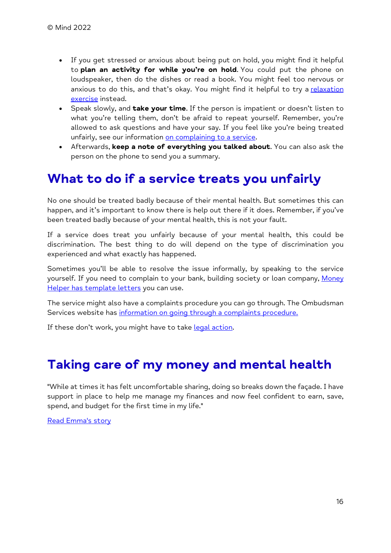- If you get stressed or anxious about being put on hold, you might find it helpful to plan an activity for while you're on hold. You could put the phone on loudspeaker, then do the dishes or read a book. You might feel too nervous or anxious to do this, and that's okay. You might find it helpful to try a relaxation exercise instead.
- Speak slowly, and **take your time**. If the person is impatient or doesn't listen to what you're telling them, don't be afraid to repeat yourself. Remember, you're allowed to ask questions and have your say. If you feel like you're being treated unfairly, see our information on complaining to a service.
- Afterwards, keep a note of everything you talked about. You can also ask the person on the phone to send you a summary.

#### What to do if a service treats you unfairly

No one should be treated badly because of their mental health. But sometimes this can happen, and it's important to know there is help out there if it does. Remember, if you've been treated badly because of your mental health, this is not your fault.

If a service does treat you unfairly because of your mental health, this could be discrimination. The best thing to do will depend on the type of discrimination you experienced and what exactly has happened.

Sometimes you'll be able to resolve the issue informally, by speaking to the service yourself. If you need to complain to your bank, building society or loan company, Money Helper has template letters you can use.

The service might also have a complaints procedure you can go through. The Ombudsman Services website has information on going through a complaints procedure.

If these don't work, you might have to take legal action.

#### Taking care of my money and mental health

"While at times it has felt uncomfortable sharing, doing so breaks down the façade. I have support in place to help me manage my finances and now feel confident to earn, save, spend, and budget for the first time in my life."

Read Emma's story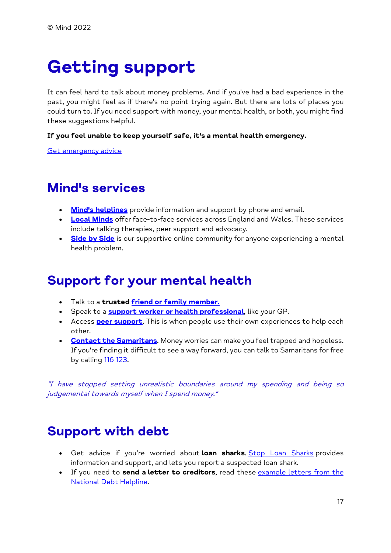# Getting support

It can feel hard to talk about money problems. And if you've had a bad experience in the past, you might feel as if there's no point trying again. But there are lots of places you could turn to. If you need support with money, your mental health, or both, you might find these suggestions helpful.

#### If you feel unable to keep yourself safe, it's a mental health emergency.

Get emergency advice

#### Mind's services

- Mind's helplines provide information and support by phone and email.
- Local Minds offer face-to-face services across England and Wales. These services include talking therapies, peer support and advocacy.
- **Side by Side** is our supportive online community for anyone experiencing a mental health problem.

#### Support for your mental health

- . Talk to a trusted friend or family member.
- Speak to a **support worker or health professional**, like your GP.
- Access **peer support**. This is when people use their own experiences to help each other.
- **Contact the Samaritans.** Money worries can make you feel trapped and hopeless. If you're finding it difficult to see a way forward, you can talk to Samaritans for free by calling 116 123.

"I have stopped setting unrealistic boundaries around my spending and being so judgemental towards myself when I spend money."

#### Support with debt

- Get advice if you're worried about loan sharks. Stop Loan Sharks provides information and support, and lets you report a suspected loan shark.
- If you need to send a letter to creditors, read these example letters from the National Debt Helpline.